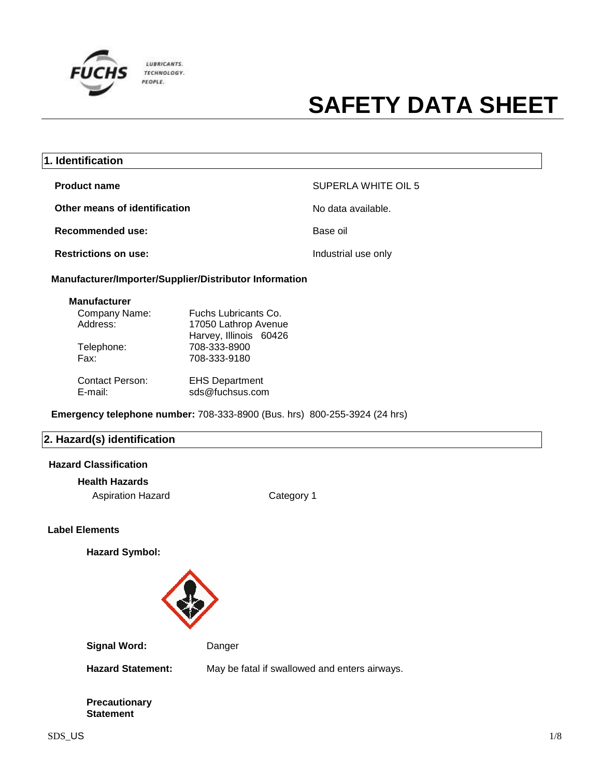

| 1. Identification                                                                |                                                               |                     |  |
|----------------------------------------------------------------------------------|---------------------------------------------------------------|---------------------|--|
| <b>Product name</b>                                                              |                                                               | SUPERLA WHITE OIL 5 |  |
| Other means of identification                                                    |                                                               | No data available.  |  |
| Recommended use:                                                                 |                                                               | Base oil            |  |
| <b>Restrictions on use:</b>                                                      |                                                               | Industrial use only |  |
|                                                                                  | <b>Manufacturer/Importer/Supplier/Distributor Information</b> |                     |  |
| <b>Manufacturer</b>                                                              |                                                               |                     |  |
| Company Name:<br>Address:                                                        | Fuchs Lubricants Co.<br>17050 Lathrop Avenue                  |                     |  |
| Telephone:<br>Fax:                                                               | Harvey, Illinois 60426<br>708-333-8900<br>708-333-9180        |                     |  |
| <b>Contact Person:</b><br>E-mail:                                                | <b>EHS Department</b><br>sds@fuchsus.com                      |                     |  |
| <b>Emergency telephone number: 708-333-8900 (Bus. hrs) 800-255-3924 (24 hrs)</b> |                                                               |                     |  |

### **2. Hazard(s) identification**

### **Hazard Classification**

### **Health Hazards**

Aspiration Hazard Category 1

### **Label Elements**

**Hazard Symbol:**



Signal Word: Danger

**Hazard Statement:** May be fatal if swallowed and enters airways.

**Precautionary Statement**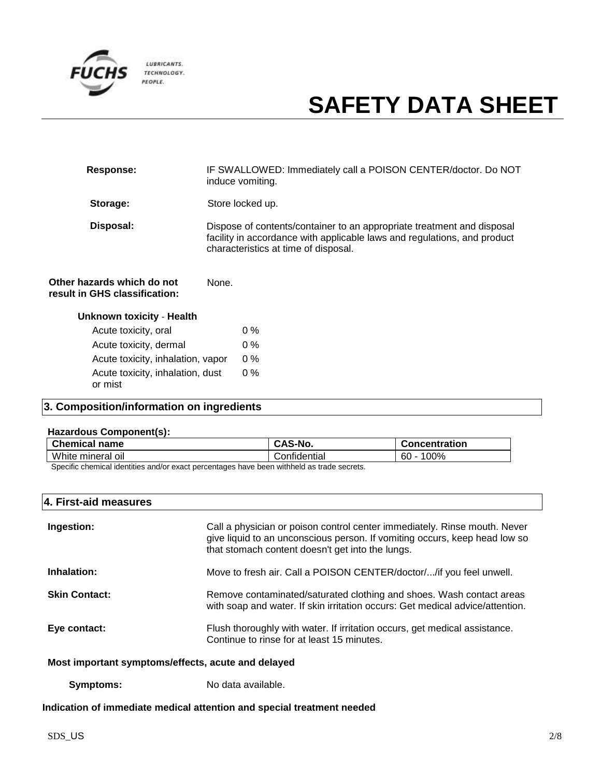

| Response:                                                   | IF SWALLOWED: Immediately call a POISON CENTER/doctor. Do NOT<br>induce vomiting.                                                                                                          |
|-------------------------------------------------------------|--------------------------------------------------------------------------------------------------------------------------------------------------------------------------------------------|
| Storage:                                                    | Store locked up.                                                                                                                                                                           |
| Disposal:                                                   | Dispose of contents/container to an appropriate treatment and disposal<br>facility in accordance with applicable laws and regulations, and product<br>characteristics at time of disposal. |
| Other hazards which do not<br>result in GHS classification: | None.                                                                                                                                                                                      |

| <b>Unknown toxicity - Health</b>            |       |
|---------------------------------------------|-------|
| Acute toxicity, oral                        | $0\%$ |
| Acute toxicity, dermal                      | $0\%$ |
| Acute toxicity, inhalation, vapor           | በ %   |
| Acute toxicity, inhalation, dust<br>or mist | $0\%$ |

### **3. Composition/information on ingredients**

#### **Hazardous Component(s):**

| <b>Chemical name</b>                                                                                               | NO.          | <b>Concentration</b> |
|--------------------------------------------------------------------------------------------------------------------|--------------|----------------------|
| White mineral<br>0II                                                                                               | Confidential | 00%<br>$\sim$<br>ы.  |
| As a strict should be the strict of some states and some search and have a stricted to a most season of the search |              |                      |

Specific chemical identities and/or exact percentages have been withheld as trade secrets.

### **4. First-aid measures**

| Ingestion:                                         | Call a physician or poison control center immediately. Rinse mouth. Never<br>give liquid to an unconscious person. If vomiting occurs, keep head low so<br>that stomach content doesn't get into the lungs. |
|----------------------------------------------------|-------------------------------------------------------------------------------------------------------------------------------------------------------------------------------------------------------------|
| Inhalation:                                        | Move to fresh air. Call a POISON CENTER/doctor//if you feel unwell.                                                                                                                                         |
| <b>Skin Contact:</b>                               | Remove contaminated/saturated clothing and shoes. Wash contact areas<br>with soap and water. If skin irritation occurs: Get medical advice/attention.                                                       |
| Eye contact:                                       | Flush thoroughly with water. If irritation occurs, get medical assistance.<br>Continue to rinse for at least 15 minutes.                                                                                    |
| Most important symptoms/effects, acute and delayed |                                                                                                                                                                                                             |
|                                                    |                                                                                                                                                                                                             |

**Symptoms:** No data available.

### **Indication of immediate medical attention and special treatment needed**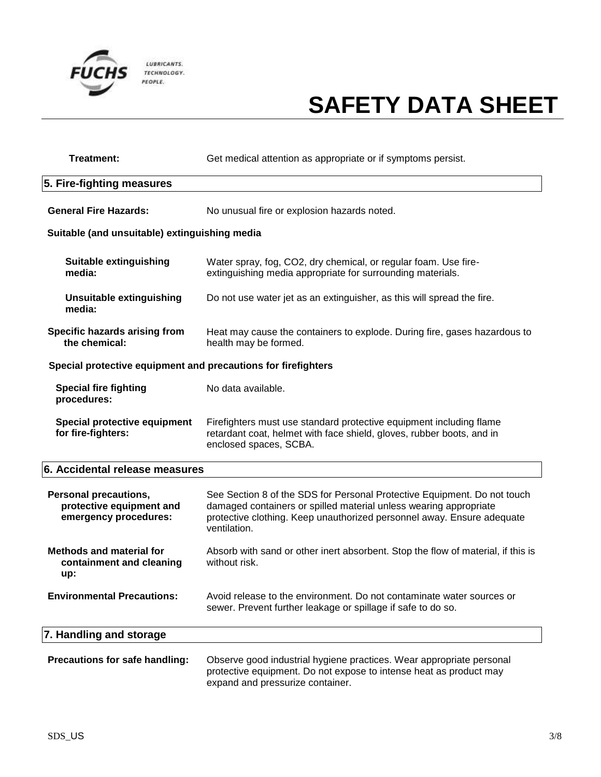

| Treatment:                                                                        | Get medical attention as appropriate or if symptoms persist.                                                                                                                                                                            |  |
|-----------------------------------------------------------------------------------|-----------------------------------------------------------------------------------------------------------------------------------------------------------------------------------------------------------------------------------------|--|
| 5. Fire-fighting measures                                                         |                                                                                                                                                                                                                                         |  |
| <b>General Fire Hazards:</b>                                                      | No unusual fire or explosion hazards noted.                                                                                                                                                                                             |  |
| Suitable (and unsuitable) extinguishing media                                     |                                                                                                                                                                                                                                         |  |
| <b>Suitable extinguishing</b><br>media:                                           | Water spray, fog, CO2, dry chemical, or regular foam. Use fire-<br>extinguishing media appropriate for surrounding materials.                                                                                                           |  |
| <b>Unsuitable extinguishing</b><br>media:                                         | Do not use water jet as an extinguisher, as this will spread the fire.                                                                                                                                                                  |  |
| Specific hazards arising from<br>the chemical:                                    | Heat may cause the containers to explode. During fire, gases hazardous to<br>health may be formed.                                                                                                                                      |  |
| Special protective equipment and precautions for firefighters                     |                                                                                                                                                                                                                                         |  |
| <b>Special fire fighting</b><br>procedures:                                       | No data available.                                                                                                                                                                                                                      |  |
| Special protective equipment<br>for fire-fighters:                                | Firefighters must use standard protective equipment including flame<br>retardant coat, helmet with face shield, gloves, rubber boots, and in<br>enclosed spaces, SCBA.                                                                  |  |
| 6. Accidental release measures                                                    |                                                                                                                                                                                                                                         |  |
| <b>Personal precautions,</b><br>protective equipment and<br>emergency procedures: | See Section 8 of the SDS for Personal Protective Equipment. Do not touch<br>damaged containers or spilled material unless wearing appropriate<br>protective clothing. Keep unauthorized personnel away. Ensure adequate<br>ventilation. |  |
| <b>Methods and material for</b><br>containment and cleaning<br>up:                | Absorb with sand or other inert absorbent. Stop the flow of material, if this is<br>without risk.                                                                                                                                       |  |
| <b>Environmental Precautions:</b>                                                 | Avoid release to the environment. Do not contaminate water sources or<br>sewer. Prevent further leakage or spillage if safe to do so.                                                                                                   |  |
| 7. Handling and storage                                                           |                                                                                                                                                                                                                                         |  |
| Precautions for safe handling:                                                    | Observe good industrial hygiene practices. Wear appropriate personal<br>protective equipment. Do not expose to intense heat as product may<br>expand and pressurize container.                                                          |  |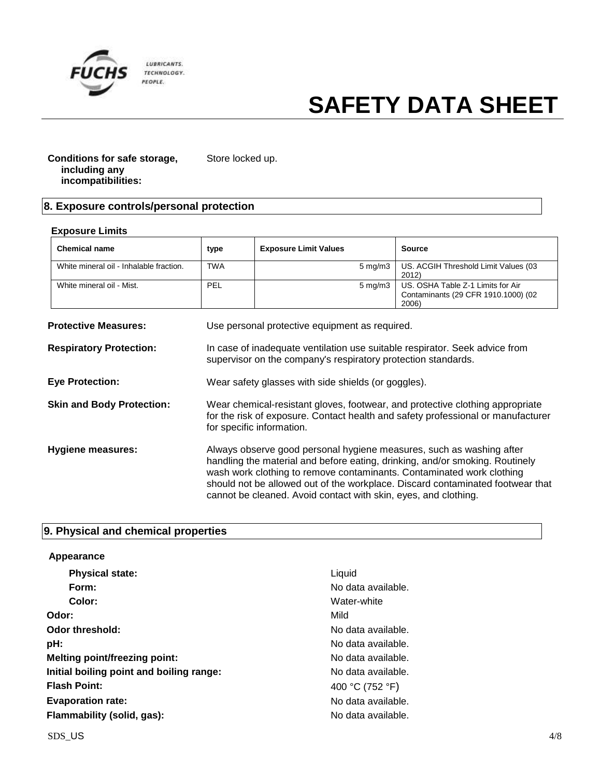

**Exposure Limits**

## **SAFETY DATA SHEET**

┯

#### **Conditions for safe storage, including any incompatibilities:** Store locked up.

### **8. Exposure controls/personal protection**

| <b>Chemical name</b>                    | type                                                                                                                                                                                           | <b>Exposure Limit Values</b>                                                                                                                                                                                                                                                                     | <b>Source</b>                                                                     |
|-----------------------------------------|------------------------------------------------------------------------------------------------------------------------------------------------------------------------------------------------|--------------------------------------------------------------------------------------------------------------------------------------------------------------------------------------------------------------------------------------------------------------------------------------------------|-----------------------------------------------------------------------------------|
| White mineral oil - Inhalable fraction. | <b>TWA</b>                                                                                                                                                                                     | $5 \text{ mg/m}$                                                                                                                                                                                                                                                                                 | US. ACGIH Threshold Limit Values (03<br>2012)                                     |
| White mineral oil - Mist.               | PEL                                                                                                                                                                                            | $5 \text{ mg/m}$ 3                                                                                                                                                                                                                                                                               | US. OSHA Table Z-1 Limits for Air<br>Contaminants (29 CFR 1910.1000) (02<br>2006) |
| <b>Protective Measures:</b>             |                                                                                                                                                                                                | Use personal protective equipment as required.                                                                                                                                                                                                                                                   |                                                                                   |
| <b>Respiratory Protection:</b>          | In case of inadequate ventilation use suitable respirator. Seek advice from<br>supervisor on the company's respiratory protection standards.                                                   |                                                                                                                                                                                                                                                                                                  |                                                                                   |
| <b>Eye Protection:</b>                  | Wear safety glasses with side shields (or goggles).                                                                                                                                            |                                                                                                                                                                                                                                                                                                  |                                                                                   |
| <b>Skin and Body Protection:</b>        | Wear chemical-resistant gloves, footwear, and protective clothing appropriate<br>for the risk of exposure. Contact health and safety professional or manufacturer<br>for specific information. |                                                                                                                                                                                                                                                                                                  |                                                                                   |
| <b>Hygiene measures:</b>                |                                                                                                                                                                                                | Always observe good personal hygiene measures, such as washing after<br>handling the material and before eating, drinking, and/or smoking. Routinely<br>wash work clothing to remove contaminants. Contaminated work clothing<br>cannot be cleaned. Avoid contact with skin, eyes, and clothing. | should not be allowed out of the workplace. Discard contaminated footwear that    |

 $\top$ 

┬

### **9. Physical and chemical properties**

| Appearance                               |                    |
|------------------------------------------|--------------------|
| <b>Physical state:</b>                   | Liquid             |
| Form:                                    | No data available. |
| Color:                                   | Water-white        |
| Odor:                                    | Mild               |
| Odor threshold:                          | No data available. |
| pH:                                      | No data available. |
| <b>Melting point/freezing point:</b>     | No data available. |
| Initial boiling point and boiling range: | No data available. |
| <b>Flash Point:</b>                      | 400 °C (752 °F)    |
| <b>Evaporation rate:</b>                 | No data available. |
| Flammability (solid, gas):               | No data available. |

┑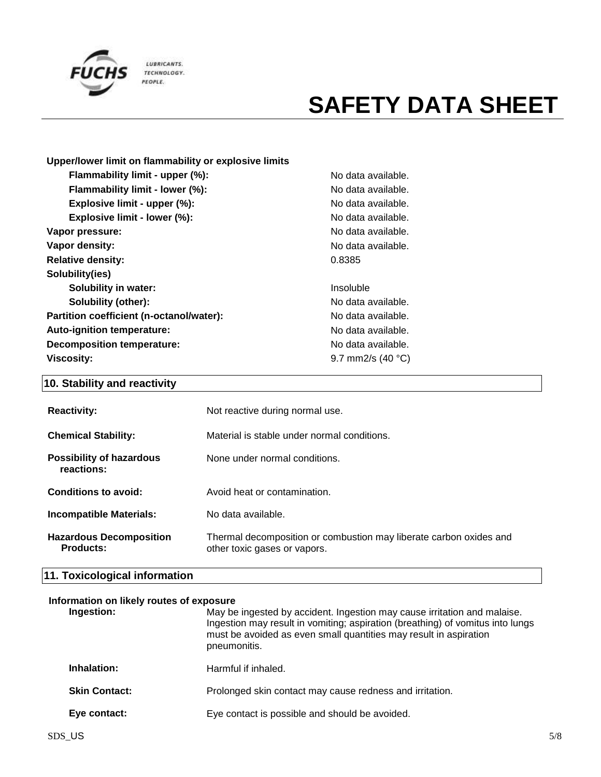

| Upper/lower limit on flammability or explosive limits |                  |
|-------------------------------------------------------|------------------|
| Flammability limit - upper (%):                       | No dat           |
| Flammability limit - lower (%):                       | No dat           |
| Explosive limit - upper (%):                          | No dat           |
| Explosive limit - lower (%):                          | No dat           |
| Vapor pressure:                                       | No data          |
| Vapor density:                                        | No dat           |
| <b>Relative density:</b>                              | 0.8385           |
| Solubility(ies)                                       |                  |
| Solubility in water:                                  | Insolut          |
| <b>Solubility (other):</b>                            | No dat           |
| Partition coefficient (n-octanol/water):              | No dat           |
| Auto-ignition temperature:                            | No dat           |
| <b>Decomposition temperature:</b>                     | No dat           |
| <b>Viscosity:</b>                                     | $9.7 \text{ mm}$ |

**No data available.** No data available. No data available. **Explosive limit - lower (%):** No data available. **Vapor pressure:** No data available. No data available.

**Insoluble Solubility (other):** No data available. No data available. **Auto-ignition temperature:** No data available. No data available. **Viscosity:** 9.7 mm2/s (40 °C)

### **10. Stability and reactivity**

| <b>Reactivity:</b>                            | Not reactive during normal use.                                                                    |
|-----------------------------------------------|----------------------------------------------------------------------------------------------------|
| <b>Chemical Stability:</b>                    | Material is stable under normal conditions.                                                        |
| <b>Possibility of hazardous</b><br>reactions: | None under normal conditions.                                                                      |
| Conditions to avoid:                          | Avoid heat or contamination.                                                                       |
| <b>Incompatible Materials:</b>                | No data available.                                                                                 |
| <b>Hazardous Decomposition</b><br>Products:   | Thermal decomposition or combustion may liberate carbon oxides and<br>other toxic gases or vapors. |

### **11. Toxicological information**

#### **Information on likely routes of exposure**

| Ingestion:           | May be ingested by accident. Ingestion may cause irritation and malaise.<br>Ingestion may result in vomiting; aspiration (breathing) of vomitus into lungs<br>must be avoided as even small quantities may result in aspiration<br>pneumonitis. |
|----------------------|-------------------------------------------------------------------------------------------------------------------------------------------------------------------------------------------------------------------------------------------------|
| Inhalation:          | Harmful if inhaled.                                                                                                                                                                                                                             |
| <b>Skin Contact:</b> | Prolonged skin contact may cause redness and irritation.                                                                                                                                                                                        |
| Eye contact:         | Eye contact is possible and should be avoided.                                                                                                                                                                                                  |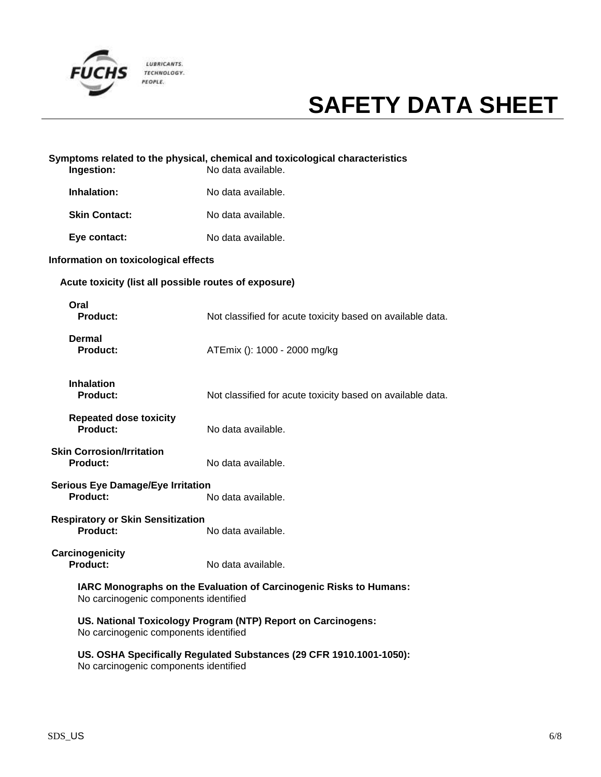

| Ingestion:                                                                                                  | Symptoms related to the physical, chemical and toxicological characteristics<br>No data available. |
|-------------------------------------------------------------------------------------------------------------|----------------------------------------------------------------------------------------------------|
| Inhalation:                                                                                                 | No data available.                                                                                 |
| <b>Skin Contact:</b>                                                                                        | No data available.                                                                                 |
| Eye contact:                                                                                                | No data available.                                                                                 |
| Information on toxicological effects                                                                        |                                                                                                    |
| Acute toxicity (list all possible routes of exposure)                                                       |                                                                                                    |
| Oral<br>Product:                                                                                            | Not classified for acute toxicity based on available data.                                         |
| Dermal<br><b>Product:</b>                                                                                   | ATEmix (): 1000 - 2000 mg/kg                                                                       |
| <b>Inhalation</b><br><b>Product:</b>                                                                        | Not classified for acute toxicity based on available data.                                         |
| <b>Repeated dose toxicity</b><br>Product:                                                                   | No data available.                                                                                 |
| <b>Skin Corrosion/Irritation</b><br><b>Product:</b>                                                         | No data available.                                                                                 |
| <b>Serious Eye Damage/Eye Irritation</b><br>Product:                                                        | No data available.                                                                                 |
| <b>Respiratory or Skin Sensitization</b><br>Product:                                                        | No data available.                                                                                 |
| Carcinogenicity<br><b>Product:</b>                                                                          | No data available.                                                                                 |
| IARC Monographs on the Evaluation of Carcinogenic Risks to Humans:<br>No carcinogenic components identified |                                                                                                    |
| US. National Toxicology Program (NTP) Report on Carcinogens:<br>No carcinogenic components identified       |                                                                                                    |
| US. OSHA Specifically Regulated Substances (29 CFR 1910.1001-1050):                                         |                                                                                                    |

No carcinogenic components identified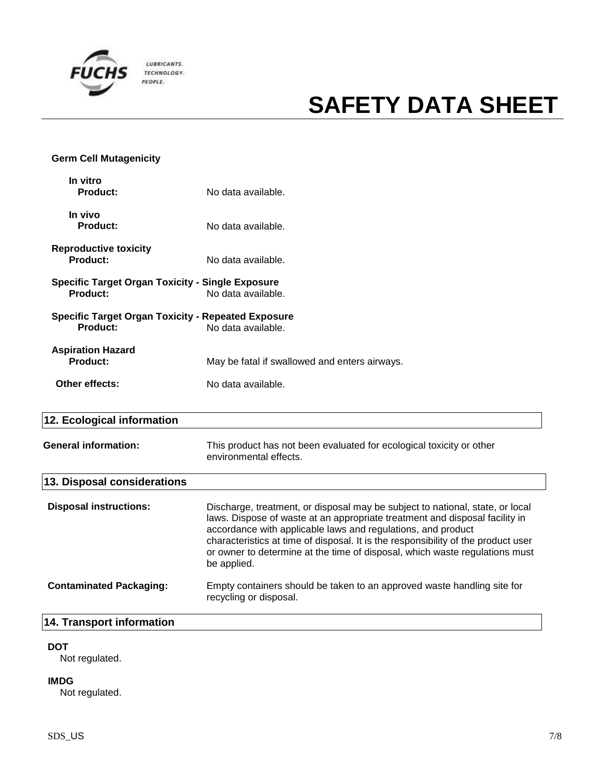

### **Germ Cell Mutagenicity**

| In vitro<br><b>Product:</b>                                                | No data available.                                                              |  |
|----------------------------------------------------------------------------|---------------------------------------------------------------------------------|--|
| In vivo<br>Product:                                                        | No data available.                                                              |  |
| <b>Reproductive toxicity</b><br><b>Product:</b>                            | No data available.                                                              |  |
| <b>Specific Target Organ Toxicity - Single Exposure</b><br><b>Product:</b> | No data available.                                                              |  |
| Product:                                                                   | <b>Specific Target Organ Toxicity - Repeated Exposure</b><br>No data available. |  |
| <b>Aspiration Hazard</b><br><b>Product:</b>                                | May be fatal if swallowed and enters airways.                                   |  |
| Other effects:                                                             | No data available.                                                              |  |

### **12. Ecological information**

| This product has not been evaluated for ecological toxicity or other<br>environmental effects.                                                                                                                                                                                                                                                                                                                  |  |  |
|-----------------------------------------------------------------------------------------------------------------------------------------------------------------------------------------------------------------------------------------------------------------------------------------------------------------------------------------------------------------------------------------------------------------|--|--|
| 13. Disposal considerations                                                                                                                                                                                                                                                                                                                                                                                     |  |  |
| Discharge, treatment, or disposal may be subject to national, state, or local<br>laws. Dispose of waste at an appropriate treatment and disposal facility in<br>accordance with applicable laws and regulations, and product<br>characteristics at time of disposal. It is the responsibility of the product user<br>or owner to determine at the time of disposal, which waste regulations must<br>be applied. |  |  |
| Empty containers should be taken to an approved waste handling site for<br>recycling or disposal.                                                                                                                                                                                                                                                                                                               |  |  |
|                                                                                                                                                                                                                                                                                                                                                                                                                 |  |  |

#### **14. Transport information**

### **DOT**

Not regulated.

#### **IMDG**

Not regulated.